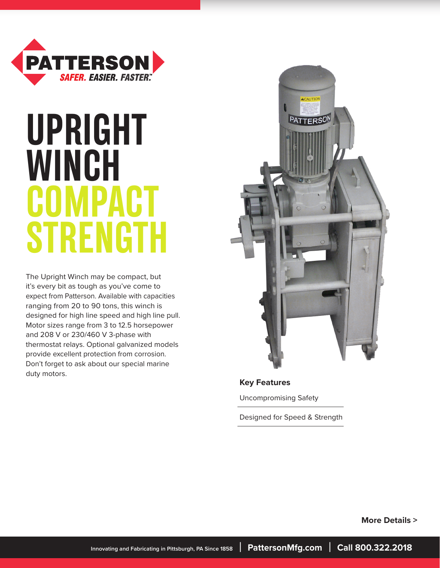

# **UPRIGHT WINCH COMPACT STRENGTH**

The Upright Winch may be compact, but it's every bit as tough as you've come to expect from Patterson. Available with capacities ranging from 20 to 90 tons, this winch is designed for high line speed and high line pull. Motor sizes range from 3 to 12.5 horsepower and 208 V or 230/460 V 3-phase with thermostat relays. Optional galvanized models provide excellent protection from corrosion. Don't forget to ask about our special marine duty motors.



**Key Features**

Uncompromising Safety

Designed for Speed & Strength

 **More Details >**